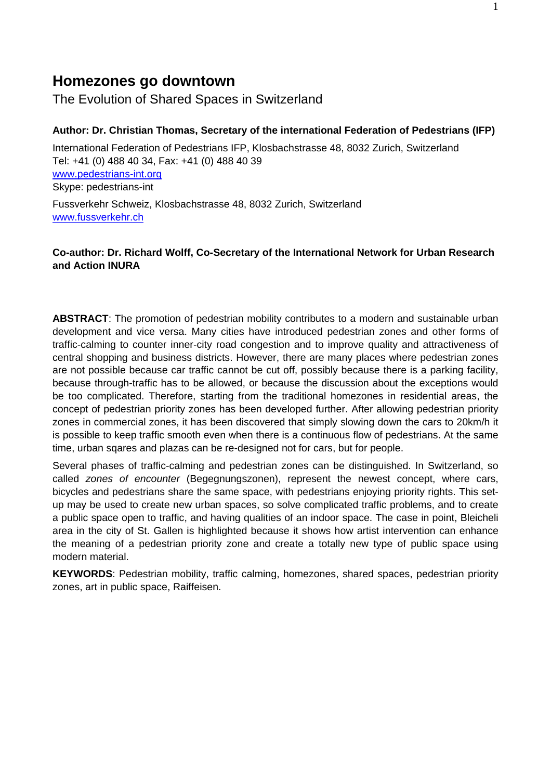# **Homezones go downtown**

The Evolution of Shared Spaces in Switzerland

## **Author: Dr. Christian Thomas, Secretary of the international Federation of Pedestrians (IFP)**

International Federation of Pedestrians IFP, Klosbachstrasse 48, 8032 Zurich, Switzerland Tel: +41 (0) 488 40 34, Fax: +41 (0) 488 40 39 www.pedestrians-int.org Skype: pedestrians-int

Fussverkehr Schweiz, Klosbachstrasse 48, 8032 Zurich, Switzerland www.fussverkehr.ch

# **Co-author: Dr. Richard Wolff, Co-Secretary of the International Network for Urban Research and Action INURA**

**ABSTRACT**: The promotion of pedestrian mobility contributes to a modern and sustainable urban development and vice versa. Many cities have introduced pedestrian zones and other forms of traffic-calming to counter inner-city road congestion and to improve quality and attractiveness of central shopping and business districts. However, there are many places where pedestrian zones are not possible because car traffic cannot be cut off, possibly because there is a parking facility, because through-traffic has to be allowed, or because the discussion about the exceptions would be too complicated. Therefore, starting from the traditional homezones in residential areas, the concept of pedestrian priority zones has been developed further. After allowing pedestrian priority zones in commercial zones, it has been discovered that simply slowing down the cars to 20km/h it is possible to keep traffic smooth even when there is a continuous flow of pedestrians. At the same time, urban sqares and plazas can be re-designed not for cars, but for people.

Several phases of traffic-calming and pedestrian zones can be distinguished. In Switzerland, so called *zones of encounter* (Begegnungszonen), represent the newest concept, where cars, bicycles and pedestrians share the same space, with pedestrians enjoying priority rights. This setup may be used to create new urban spaces, so solve complicated traffic problems, and to create a public space open to traffic, and having qualities of an indoor space. The case in point, Bleicheli area in the city of St. Gallen is highlighted because it shows how artist intervention can enhance the meaning of a pedestrian priority zone and create a totally new type of public space using modern material.

**KEYWORDS**: Pedestrian mobility, traffic calming, homezones, shared spaces, pedestrian priority zones, art in public space, Raiffeisen.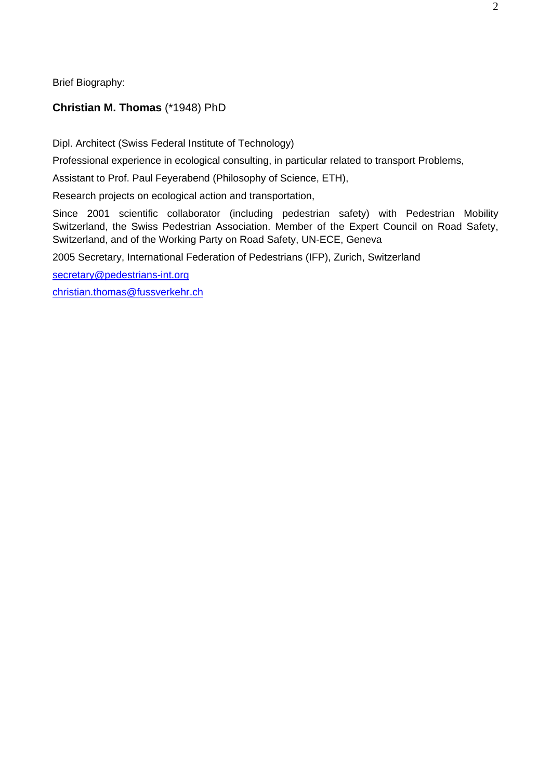Brief Biography:

# **Christian M. Thomas** (\*1948) PhD

Dipl. Architect (Swiss Federal Institute of Technology)

Professional experience in ecological consulting, in particular related to transport Problems,

Assistant to Prof. Paul Feyerabend (Philosophy of Science, ETH),

Research projects on ecological action and transportation,

Since 2001 scientific collaborator (including pedestrian safety) with Pedestrian Mobility Switzerland, the Swiss Pedestrian Association. Member of the Expert Council on Road Safety, Switzerland, and of the Working Party on Road Safety, UN-ECE, Geneva

2005 Secretary, International Federation of Pedestrians (IFP), Zurich, Switzerland

secretary@pedestrians-int.org

christian.thomas@fussverkehr.ch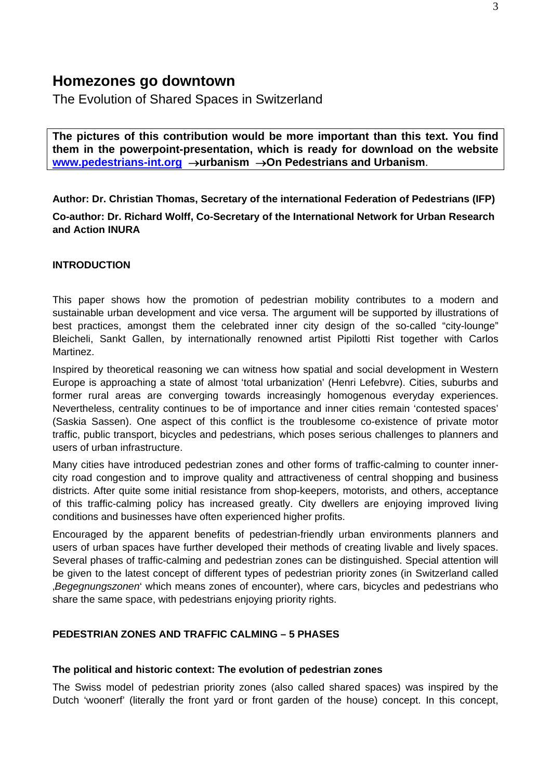# **Homezones go downtown**

The Evolution of Shared Spaces in Switzerland

**The pictures of this contribution would be more important than this text. You find them in the powerpoint-presentation, which is ready for download on the website www.pedestrians-int.org** →**urbanism** →**On Pedestrians and Urbanism**.

**Author: Dr. Christian Thomas, Secretary of the international Federation of Pedestrians (IFP) Co-author: Dr. Richard Wolff, Co-Secretary of the International Network for Urban Research and Action INURA** 

## **INTRODUCTION**

This paper shows how the promotion of pedestrian mobility contributes to a modern and sustainable urban development and vice versa. The argument will be supported by illustrations of best practices, amongst them the celebrated inner city design of the so-called "city-lounge" Bleicheli, Sankt Gallen, by internationally renowned artist Pipilotti Rist together with Carlos Martinez.

Inspired by theoretical reasoning we can witness how spatial and social development in Western Europe is approaching a state of almost 'total urbanization' (Henri Lefebvre). Cities, suburbs and former rural areas are converging towards increasingly homogenous everyday experiences. Nevertheless, centrality continues to be of importance and inner cities remain 'contested spaces' (Saskia Sassen). One aspect of this conflict is the troublesome co-existence of private motor traffic, public transport, bicycles and pedestrians, which poses serious challenges to planners and users of urban infrastructure.

Many cities have introduced pedestrian zones and other forms of traffic-calming to counter innercity road congestion and to improve quality and attractiveness of central shopping and business districts. After quite some initial resistance from shop-keepers, motorists, and others, acceptance of this traffic-calming policy has increased greatly. City dwellers are enjoying improved living conditions and businesses have often experienced higher profits.

Encouraged by the apparent benefits of pedestrian-friendly urban environments planners and users of urban spaces have further developed their methods of creating livable and lively spaces. Several phases of traffic-calming and pedestrian zones can be distinguished. Special attention will be given to the latest concept of different types of pedestrian priority zones (in Switzerland called '*Begegnungszonen*' which means zones of encounter), where cars, bicycles and pedestrians who share the same space, with pedestrians enjoying priority rights.

## **PEDESTRIAN ZONES AND TRAFFIC CALMING – 5 PHASES**

#### **The political and historic context: The evolution of pedestrian zones**

The Swiss model of pedestrian priority zones (also called shared spaces) was inspired by the Dutch 'woonerf' (literally the front yard or front garden of the house) concept. In this concept,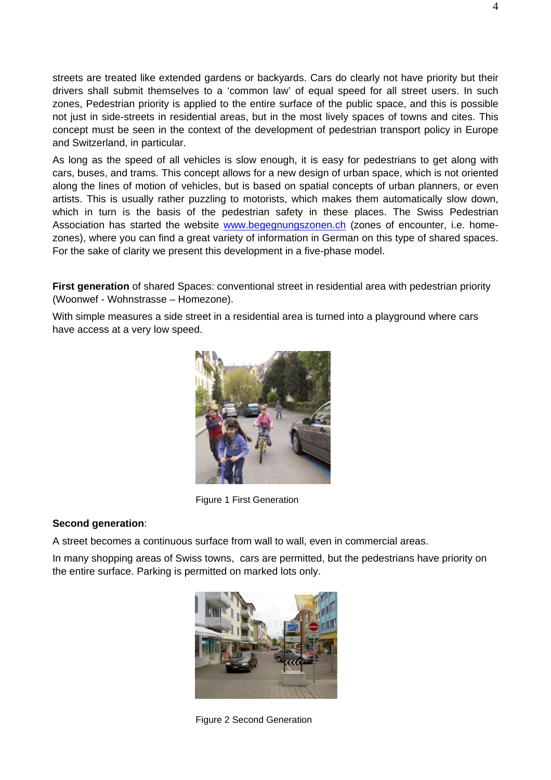streets are treated like extended gardens or backyards. Cars do clearly not have priority but their drivers shall submit themselves to a 'common law' of equal speed for all street users. In such zones, Pedestrian priority is applied to the entire surface of the public space, and this is possible not just in side-streets in residential areas, but in the most lively spaces of towns and cites. This concept must be seen in the context of the development of pedestrian transport policy in Europe and Switzerland, in particular.

As long as the speed of all vehicles is slow enough, it is easy for pedestrians to get along with cars, buses, and trams. This concept allows for a new design of urban space, which is not oriented along the lines of motion of vehicles, but is based on spatial concepts of urban planners, or even artists. This is usually rather puzzling to motorists, which makes them automatically slow down, which in turn is the basis of the pedestrian safety in these places. The Swiss Pedestrian Association has started the website www.begegnungszonen.ch (zones of encounter, i.e. homezones), where you can find a great variety of information in German on this type of shared spaces. For the sake of clarity we present this development in a five-phase model.

**First generation** of shared Spaces: conventional street in residential area with pedestrian priority (Woonwef - Wohnstrasse – Homezone).

With simple measures a side street in a residential area is turned into a playground where cars have access at a very low speed.



Figure 1 First Generation

#### **Second generation**:

A street becomes a continuous surface from wall to wall, even in commercial areas.

In many shopping areas of Swiss towns, cars are permitted, but the pedestrians have priority on the entire surface. Parking is permitted on marked lots only.



Figure 2 Second Generation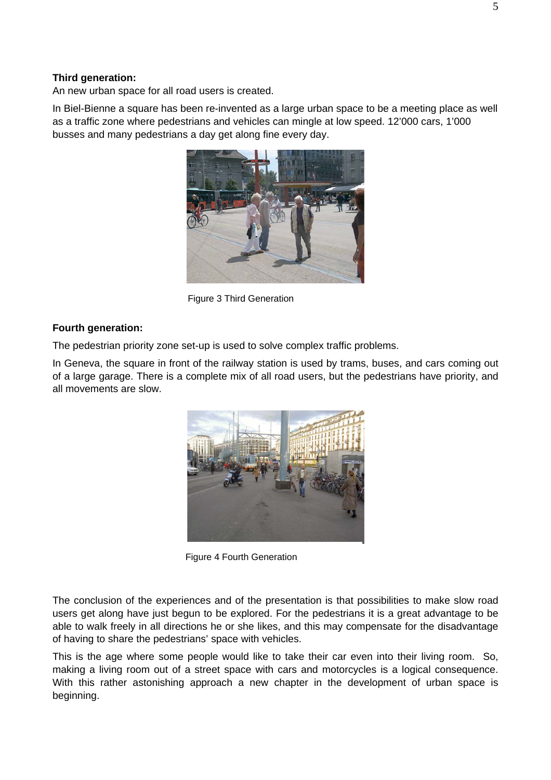#### **Third generation:**

An new urban space for all road users is created.

In Biel-Bienne a square has been re-invented as a large urban space to be a meeting place as well as a traffic zone where pedestrians and vehicles can mingle at low speed. 12'000 cars, 1'000 busses and many pedestrians a day get along fine every day.



Figure 3 Third Generation

## **Fourth generation:**

The pedestrian priority zone set-up is used to solve complex traffic problems.

In Geneva, the square in front of the railway station is used by trams, buses, and cars coming out of a large garage. There is a complete mix of all road users, but the pedestrians have priority, and all movements are slow.



Figure 4 Fourth Generation

The conclusion of the experiences and of the presentation is that possibilities to make slow road users get along have just begun to be explored. For the pedestrians it is a great advantage to be able to walk freely in all directions he or she likes, and this may compensate for the disadvantage of having to share the pedestrians' space with vehicles.

This is the age where some people would like to take their car even into their living room. So, making a living room out of a street space with cars and motorcycles is a logical consequence. With this rather astonishing approach a new chapter in the development of urban space is beginning.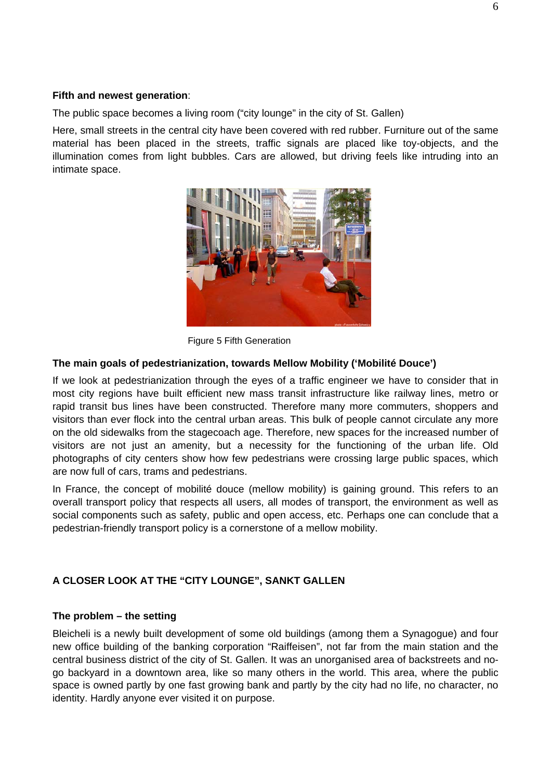## **Fifth and newest generation**:

The public space becomes a living room ("city lounge" in the city of St. Gallen)

Here, small streets in the central city have been covered with red rubber. Furniture out of the same material has been placed in the streets, traffic signals are placed like toy-objects, and the illumination comes from light bubbles. Cars are allowed, but driving feels like intruding into an intimate space.



Figure 5 Fifth Generation

## **The main goals of pedestrianization, towards Mellow Mobility ('Mobilité Douce')**

If we look at pedestrianization through the eyes of a traffic engineer we have to consider that in most city regions have built efficient new mass transit infrastructure like railway lines, metro or rapid transit bus lines have been constructed. Therefore many more commuters, shoppers and visitors than ever flock into the central urban areas. This bulk of people cannot circulate any more on the old sidewalks from the stagecoach age. Therefore, new spaces for the increased number of visitors are not just an amenity, but a necessity for the functioning of the urban life. Old photographs of city centers show how few pedestrians were crossing large public spaces, which are now full of cars, trams and pedestrians.

In France, the concept of mobilité douce (mellow mobility) is gaining ground. This refers to an overall transport policy that respects all users, all modes of transport, the environment as well as social components such as safety, public and open access, etc. Perhaps one can conclude that a pedestrian-friendly transport policy is a cornerstone of a mellow mobility.

# **A CLOSER LOOK AT THE "CITY LOUNGE", SANKT GALLEN**

## **The problem – the setting**

Bleicheli is a newly built development of some old buildings (among them a Synagogue) and four new office building of the banking corporation "Raiffeisen", not far from the main station and the central business district of the city of St. Gallen. It was an unorganised area of backstreets and nogo backyard in a downtown area, like so many others in the world. This area, where the public space is owned partly by one fast growing bank and partly by the city had no life, no character, no identity. Hardly anyone ever visited it on purpose.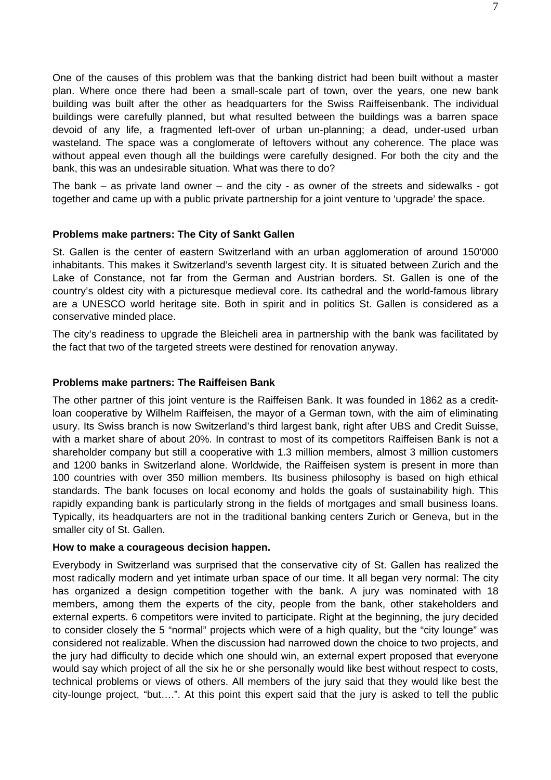One of the causes of this problem was that the banking district had been built without a master plan. Where once there had been a small-scale part of town, over the years, one new bank building was built after the other as headquarters for the Swiss Raiffeisenbank. The individual buildings were carefully planned, but what resulted between the buildings was a barren space devoid of any life, a fragmented left-over of urban un-planning; a dead, under-used urban wasteland. The space was a conglomerate of leftovers without any coherence. The place was without appeal even though all the buildings were carefully designed. For both the city and the bank, this was an undesirable situation. What was there to do?

The bank – as private land owner – and the city - as owner of the streets and sidewalks - got together and came up with a public private partnership for a joint venture to 'upgrade' the space.

### **Problems make partners: The City of Sankt Gallen**

St. Gallen is the center of eastern Switzerland with an urban agglomeration of around 150'000 inhabitants. This makes it Switzerland's seventh largest city. It is situated between Zurich and the Lake of Constance, not far from the German and Austrian borders. St. Gallen is one of the country's oldest city with a picturesque medieval core. Its cathedral and the world-famous library are a UNESCO world heritage site. Both in spirit and in politics St. Gallen is considered as a conservative minded place.

The city's readiness to upgrade the Bleicheli area in partnership with the bank was facilitated by the fact that two of the targeted streets were destined for renovation anyway.

#### **Problems make partners: The Raiffeisen Bank**

The other partner of this joint venture is the Raiffeisen Bank. It was founded in 1862 as a creditloan cooperative by Wilhelm Raiffeisen, the mayor of a German town, with the aim of eliminating usury. Its Swiss branch is now Switzerland's third largest bank, right after UBS and Credit Suisse, with a market share of about 20%. In contrast to most of its competitors Raiffeisen Bank is not a shareholder company but still a cooperative with 1.3 million members, almost 3 million customers and 1200 banks in Switzerland alone. Worldwide, the Raiffeisen system is present in more than 100 countries with over 350 million members. Its business philosophy is based on high ethical standards. The bank focuses on local economy and holds the goals of sustainability high. This rapidly expanding bank is particularly strong in the fields of mortgages and small business loans. Typically, its headquarters are not in the traditional banking centers Zurich or Geneva, but in the smaller city of St. Gallen.

#### **How to make a courageous decision happen.**

Everybody in Switzerland was surprised that the conservative city of St. Gallen has realized the most radically modern and yet intimate urban space of our time. It all began very normal: The city has organized a design competition together with the bank. A jury was nominated with 18 members, among them the experts of the city, people from the bank, other stakeholders and external experts. 6 competitors were invited to participate. Right at the beginning, the jury decided to consider closely the 5 "normal" projects which were of a high quality, but the "city lounge" was considered not realizable. When the discussion had narrowed down the choice to two projects, and the jury had difficulty to decide which one should win, an external expert proposed that everyone would say which project of all the six he or she personally would like best without respect to costs, technical problems or views of others. All members of the jury said that they would like best the city-lounge project, "but….". At this point this expert said that the jury is asked to tell the public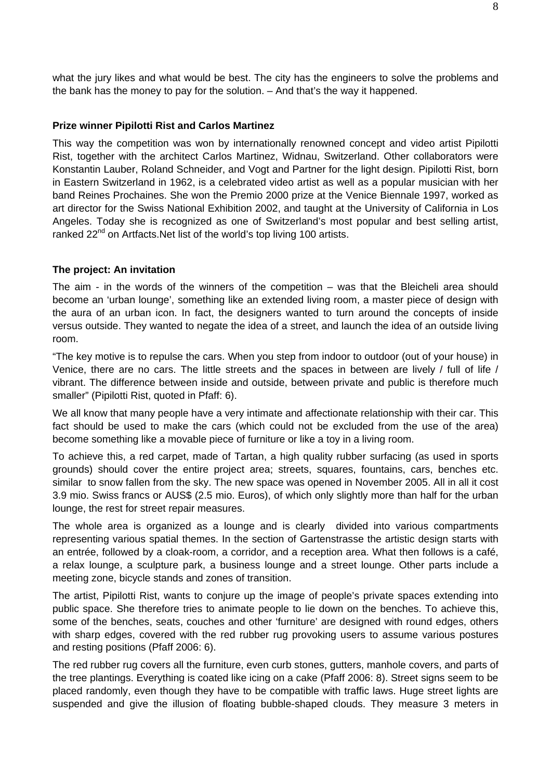what the jury likes and what would be best. The city has the engineers to solve the problems and the bank has the money to pay for the solution. – And that's the way it happened.

#### **Prize winner Pipilotti Rist and Carlos Martinez**

This way the competition was won by internationally renowned concept and video artist Pipilotti Rist, together with the architect Carlos Martinez, Widnau, Switzerland. Other collaborators were Konstantin Lauber, Roland Schneider, and Vogt and Partner for the light design. Pipilotti Rist, born in Eastern Switzerland in 1962, is a celebrated video artist as well as a popular musician with her band Reines Prochaines. She won the Premio 2000 prize at the Venice Biennale 1997, worked as art director for the Swiss National Exhibition 2002, and taught at the University of California in Los Angeles. Today she is recognized as one of Switzerland's most popular and best selling artist, ranked 22<sup>nd</sup> on Artfacts. Net list of the world's top living 100 artists.

#### **The project: An invitation**

The aim - in the words of the winners of the competition – was that the Bleicheli area should become an 'urban lounge', something like an extended living room, a master piece of design with the aura of an urban icon. In fact, the designers wanted to turn around the concepts of inside versus outside. They wanted to negate the idea of a street, and launch the idea of an outside living room.

"The key motive is to repulse the cars. When you step from indoor to outdoor (out of your house) in Venice, there are no cars. The little streets and the spaces in between are lively / full of life / vibrant. The difference between inside and outside, between private and public is therefore much smaller" (Pipilotti Rist, quoted in Pfaff: 6).

We all know that many people have a very intimate and affectionate relationship with their car. This fact should be used to make the cars (which could not be excluded from the use of the area) become something like a movable piece of furniture or like a toy in a living room.

To achieve this, a red carpet, made of Tartan, a high quality rubber surfacing (as used in sports grounds) should cover the entire project area; streets, squares, fountains, cars, benches etc. similar to snow fallen from the sky. The new space was opened in November 2005. All in all it cost 3.9 mio. Swiss francs or AUS\$ (2.5 mio. Euros), of which only slightly more than half for the urban lounge, the rest for street repair measures.

The whole area is organized as a lounge and is clearly divided into various compartments representing various spatial themes. In the section of Gartenstrasse the artistic design starts with an entrée, followed by a cloak-room, a corridor, and a reception area. What then follows is a café, a relax lounge, a sculpture park, a business lounge and a street lounge. Other parts include a meeting zone, bicycle stands and zones of transition.

The artist, Pipilotti Rist, wants to conjure up the image of people's private spaces extending into public space. She therefore tries to animate people to lie down on the benches. To achieve this, some of the benches, seats, couches and other 'furniture' are designed with round edges, others with sharp edges, covered with the red rubber rug provoking users to assume various postures and resting positions (Pfaff 2006: 6).

The red rubber rug covers all the furniture, even curb stones, gutters, manhole covers, and parts of the tree plantings. Everything is coated like icing on a cake (Pfaff 2006: 8). Street signs seem to be placed randomly, even though they have to be compatible with traffic laws. Huge street lights are suspended and give the illusion of floating bubble-shaped clouds. They measure 3 meters in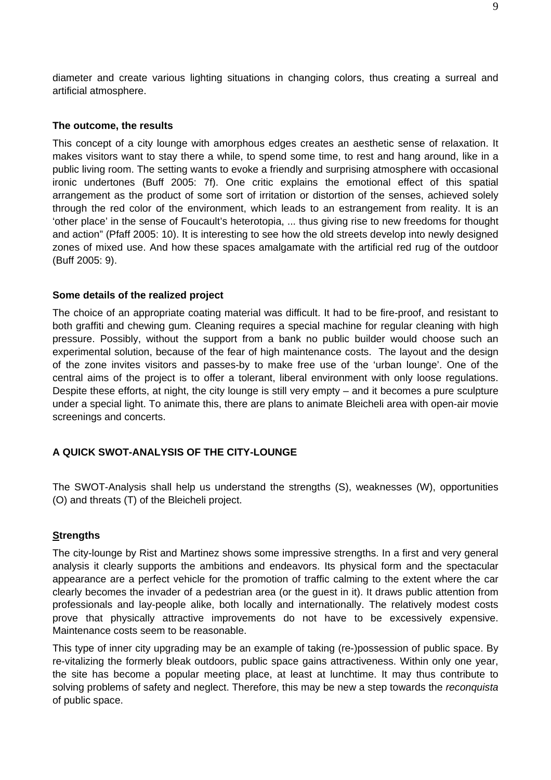diameter and create various lighting situations in changing colors, thus creating a surreal and artificial atmosphere.

#### **The outcome, the results**

This concept of a city lounge with amorphous edges creates an aesthetic sense of relaxation. It makes visitors want to stay there a while, to spend some time, to rest and hang around, like in a public living room. The setting wants to evoke a friendly and surprising atmosphere with occasional ironic undertones (Buff 2005: 7f). One critic explains the emotional effect of this spatial arrangement as the product of some sort of irritation or distortion of the senses, achieved solely through the red color of the environment, which leads to an estrangement from reality. It is an 'other place' in the sense of Foucault's heterotopia, ... thus giving rise to new freedoms for thought and action" (Pfaff 2005: 10). It is interesting to see how the old streets develop into newly designed zones of mixed use. And how these spaces amalgamate with the artificial red rug of the outdoor (Buff 2005: 9).

### **Some details of the realized project**

The choice of an appropriate coating material was difficult. It had to be fire-proof, and resistant to both graffiti and chewing gum. Cleaning requires a special machine for regular cleaning with high pressure. Possibly, without the support from a bank no public builder would choose such an experimental solution, because of the fear of high maintenance costs. The layout and the design of the zone invites visitors and passes-by to make free use of the 'urban lounge'. One of the central aims of the project is to offer a tolerant, liberal environment with only loose regulations. Despite these efforts, at night, the city lounge is still very empty – and it becomes a pure sculpture under a special light. To animate this, there are plans to animate Bleicheli area with open-air movie screenings and concerts.

# **A QUICK SWOT-ANALYSIS OF THE CITY-LOUNGE**

The SWOT-Analysis shall help us understand the strengths (S), weaknesses (W), opportunities (O) and threats (T) of the Bleicheli project.

## **Strengths**

The city-lounge by Rist and Martinez shows some impressive strengths. In a first and very general analysis it clearly supports the ambitions and endeavors. Its physical form and the spectacular appearance are a perfect vehicle for the promotion of traffic calming to the extent where the car clearly becomes the invader of a pedestrian area (or the guest in it). It draws public attention from professionals and lay-people alike, both locally and internationally. The relatively modest costs prove that physically attractive improvements do not have to be excessively expensive. Maintenance costs seem to be reasonable.

This type of inner city upgrading may be an example of taking (re-)possession of public space. By re-vitalizing the formerly bleak outdoors, public space gains attractiveness. Within only one year, the site has become a popular meeting place, at least at lunchtime. It may thus contribute to solving problems of safety and neglect. Therefore, this may be new a step towards the *reconquista* of public space.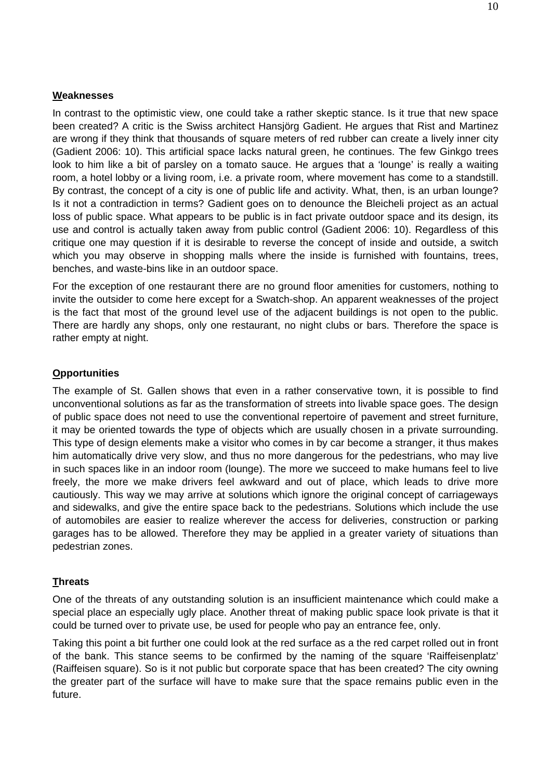## **Weaknesses**

In contrast to the optimistic view, one could take a rather skeptic stance. Is it true that new space been created? A critic is the Swiss architect Hansjörg Gadient. He argues that Rist and Martinez are wrong if they think that thousands of square meters of red rubber can create a lively inner city (Gadient 2006: 10). This artificial space lacks natural green, he continues. The few Ginkgo trees look to him like a bit of parsley on a tomato sauce. He argues that a 'lounge' is really a waiting room, a hotel lobby or a living room, i.e. a private room, where movement has come to a standstill. By contrast, the concept of a city is one of public life and activity. What, then, is an urban lounge? Is it not a contradiction in terms? Gadient goes on to denounce the Bleicheli project as an actual loss of public space. What appears to be public is in fact private outdoor space and its design, its use and control is actually taken away from public control (Gadient 2006: 10). Regardless of this critique one may question if it is desirable to reverse the concept of inside and outside, a switch which you may observe in shopping malls where the inside is furnished with fountains, trees, benches, and waste-bins like in an outdoor space.

For the exception of one restaurant there are no ground floor amenities for customers, nothing to invite the outsider to come here except for a Swatch-shop. An apparent weaknesses of the project is the fact that most of the ground level use of the adjacent buildings is not open to the public. There are hardly any shops, only one restaurant, no night clubs or bars. Therefore the space is rather empty at night.

# **Opportunities**

The example of St. Gallen shows that even in a rather conservative town, it is possible to find unconventional solutions as far as the transformation of streets into livable space goes. The design of public space does not need to use the conventional repertoire of pavement and street furniture, it may be oriented towards the type of objects which are usually chosen in a private surrounding. This type of design elements make a visitor who comes in by car become a stranger, it thus makes him automatically drive very slow, and thus no more dangerous for the pedestrians, who may live in such spaces like in an indoor room (lounge). The more we succeed to make humans feel to live freely, the more we make drivers feel awkward and out of place, which leads to drive more cautiously. This way we may arrive at solutions which ignore the original concept of carriageways and sidewalks, and give the entire space back to the pedestrians. Solutions which include the use of automobiles are easier to realize wherever the access for deliveries, construction or parking garages has to be allowed. Therefore they may be applied in a greater variety of situations than pedestrian zones.

## **Threats**

One of the threats of any outstanding solution is an insufficient maintenance which could make a special place an especially ugly place. Another threat of making public space look private is that it could be turned over to private use, be used for people who pay an entrance fee, only.

Taking this point a bit further one could look at the red surface as a the red carpet rolled out in front of the bank. This stance seems to be confirmed by the naming of the square 'Raiffeisenplatz' (Raiffeisen square). So is it not public but corporate space that has been created? The city owning the greater part of the surface will have to make sure that the space remains public even in the future.